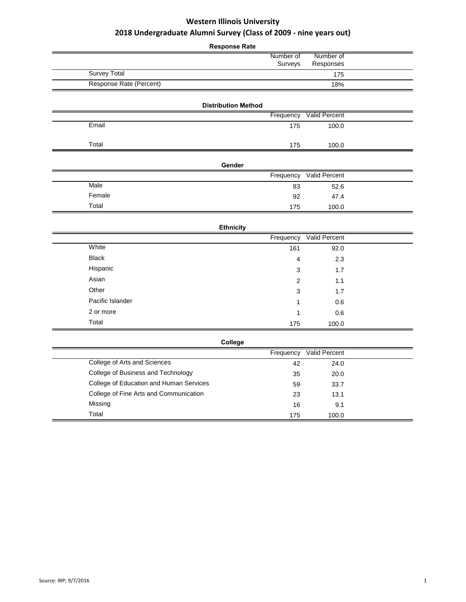|                                         | <b>Response Rate</b>       |                      |  |
|-----------------------------------------|----------------------------|----------------------|--|
|                                         | Number of                  | Number of            |  |
|                                         | Surveys                    | Responses            |  |
| <b>Survey Total</b>                     |                            | 175                  |  |
| Response Rate (Percent)                 |                            | 18%                  |  |
|                                         |                            |                      |  |
|                                         | <b>Distribution Method</b> |                      |  |
|                                         | Frequency                  | <b>Valid Percent</b> |  |
| Email                                   | 175                        | 100.0                |  |
|                                         |                            |                      |  |
| Total                                   | 175                        | 100.0                |  |
|                                         | Gender                     |                      |  |
|                                         | Frequency                  | Valid Percent        |  |
| Male                                    | 83                         | 52.6                 |  |
| Female                                  | 92                         | 47.4                 |  |
| Total                                   | 175                        | 100.0                |  |
|                                         |                            |                      |  |
|                                         | <b>Ethnicity</b>           |                      |  |
|                                         | Frequency                  | Valid Percent        |  |
| White                                   | 161                        | 92.0                 |  |
| <b>Black</b>                            | 4                          | 2.3                  |  |
| Hispanic                                | 3                          | 1.7                  |  |
| Asian                                   | $\overline{2}$             | 1.1                  |  |
| Other                                   | 3                          | 1.7                  |  |
| Pacific Islander                        | 1                          | 0.6                  |  |
| 2 or more                               | 1                          | 0.6                  |  |
| Total                                   | 175                        | 100.0                |  |
|                                         |                            |                      |  |
|                                         | College                    |                      |  |
|                                         | Frequency                  | Valid Percent        |  |
| College of Arts and Sciences            | 42                         | 24.0                 |  |
| College of Business and Technology      | 35                         | 20.0                 |  |
| College of Education and Human Services | 59                         | 33.7                 |  |
| College of Fine Arts and Communication  | 23                         | 13.1                 |  |
| Missing                                 | 16                         | 9.1                  |  |
| Total                                   | 175                        | 100.0                |  |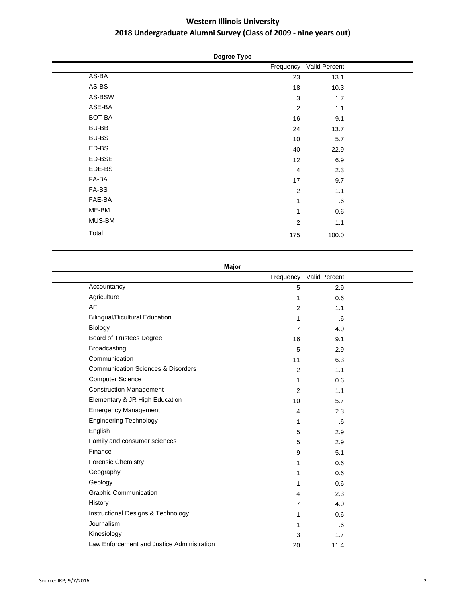# **Degree Type**

|              | Frequency      | Valid Percent |  |
|--------------|----------------|---------------|--|
| AS-BA        | 23             | 13.1          |  |
| AS-BS        | 18             | 10.3          |  |
| AS-BSW       | $\mathbf{3}$   | 1.7           |  |
| ASE-BA       | $\overline{2}$ | 1.1           |  |
| BOT-BA       | 16             | 9.1           |  |
| BU-BB        | 24             | 13.7          |  |
| <b>BU-BS</b> | 10             | 5.7           |  |
| ED-BS        | 40             | 22.9          |  |
| ED-BSE       | 12             | 6.9           |  |
| EDE-BS       | 4              | 2.3           |  |
| FA-BA        | 17             | 9.7           |  |
| FA-BS        | $\overline{2}$ | 1.1           |  |
| FAE-BA       | 1              | ${\bf .6}$    |  |
| ME-BM        | 1              | 0.6           |  |
| MUS-BM       | $\overline{c}$ | 1.1           |  |
| Total        | 175            | 100.0         |  |

### **Major**

|                                               |                 | Frequency Valid Percent |  |
|-----------------------------------------------|-----------------|-------------------------|--|
| Accountancy                                   | 5               | 2.9                     |  |
| Agriculture                                   | 1               | 0.6                     |  |
| Art                                           | 2               | 1.1                     |  |
| <b>Bilingual/Bicultural Education</b>         | $\mathbf{1}$    | .6                      |  |
| Biology                                       | $\overline{7}$  | 4.0                     |  |
| <b>Board of Trustees Degree</b>               | 16              | 9.1                     |  |
| <b>Broadcasting</b>                           | 5               | 2.9                     |  |
| Communication                                 | 11              | 6.3                     |  |
| <b>Communication Sciences &amp; Disorders</b> | $\overline{2}$  | 1.1                     |  |
| <b>Computer Science</b>                       | $\mathbf{1}$    | 0.6                     |  |
| <b>Construction Management</b>                | 2               | 1.1                     |  |
| Elementary & JR High Education                | 10 <sup>1</sup> | 5.7                     |  |
| <b>Emergency Management</b>                   | $\overline{4}$  | 2.3                     |  |
| <b>Engineering Technology</b>                 | 1               | .6                      |  |
| English                                       | 5               | 2.9                     |  |
| Family and consumer sciences                  | 5               | 2.9                     |  |
| Finance                                       | 9               | 5.1                     |  |
| <b>Forensic Chemistry</b>                     | 1               | 0.6                     |  |
| Geography                                     | $\mathbf{1}$    | 0.6                     |  |
| Geology                                       | $\mathbf{1}$    | 0.6                     |  |
| <b>Graphic Communication</b>                  | $\overline{4}$  | 2.3                     |  |
| History                                       | $\overline{7}$  | 4.0                     |  |
| Instructional Designs & Technology            | 1               | 0.6                     |  |
| Journalism                                    | 1               | .6                      |  |
| Kinesiology                                   | 3               | 1.7                     |  |
| Law Enforcement and Justice Administration    | 20              | 11.4                    |  |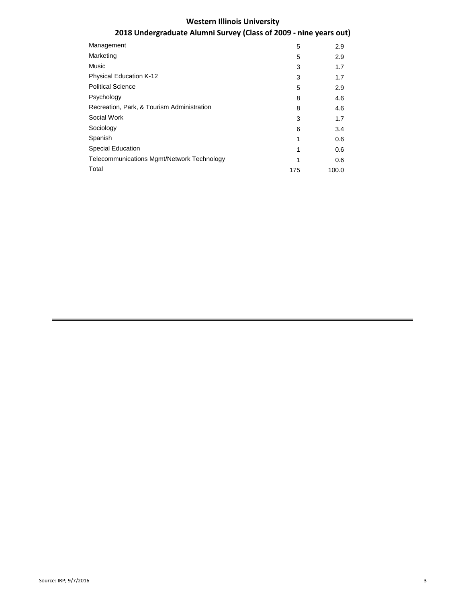# **Western Illinois University**

# **2018 Undergraduate Alumni Survey (Class of 2009 - nine years out)**

| Management                                 | 5   | 2.9   |
|--------------------------------------------|-----|-------|
| Marketing                                  | 5   | 2.9   |
| Music                                      | 3   | 1.7   |
| <b>Physical Education K-12</b>             | 3   | 1.7   |
| <b>Political Science</b>                   | 5   | 2.9   |
| Psychology                                 | 8   | 4.6   |
| Recreation, Park, & Tourism Administration | 8   | 4.6   |
| Social Work                                | 3   | 1.7   |
| Sociology                                  | 6   | 3.4   |
| Spanish                                    | 1   | 0.6   |
| <b>Special Education</b>                   | 1   | 0.6   |
| Telecommunications Mgmt/Network Technology | 1   | 0.6   |
| Total                                      | 175 | 100.0 |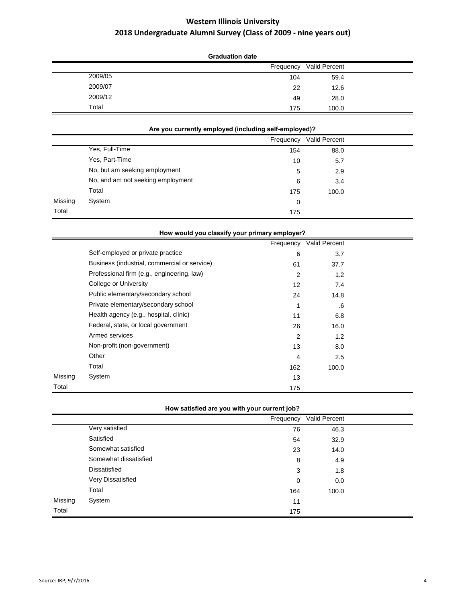|         | <b>Graduation date</b> |               |  |  |  |
|---------|------------------------|---------------|--|--|--|
|         | Frequency              | Valid Percent |  |  |  |
| 2009/05 | 104                    | 59.4          |  |  |  |
| 2009/07 | 22                     | 12.6          |  |  |  |
| 2009/12 | 49                     | 28.0          |  |  |  |
| Total   | 175                    | 100.0         |  |  |  |

### **Are you currently employed (including self-employed)?**

|         |                                   | Frequency | Valid Percent |  |
|---------|-----------------------------------|-----------|---------------|--|
|         | Yes, Full-Time                    | 154       | 88.0          |  |
|         | Yes, Part-Time                    | 10        | 5.7           |  |
|         | No, but am seeking employment     | 5         | 2.9           |  |
|         | No, and am not seeking employment | 6         | 3.4           |  |
|         | Total                             | 175       | 100.0         |  |
| Missing | System                            | 0         |               |  |
| Total   |                                   | 175       |               |  |

|         | How would you classify your primary employer? |                |               |  |  |
|---------|-----------------------------------------------|----------------|---------------|--|--|
|         |                                               | Frequency      | Valid Percent |  |  |
|         | Self-employed or private practice             | 6              | 3.7           |  |  |
|         | Business (industrial, commercial or service)  | 61             | 37.7          |  |  |
|         | Professional firm (e.g., engineering, law)    | $\overline{2}$ | 1.2           |  |  |
|         | College or University                         | 12             | 7.4           |  |  |
|         | Public elementary/secondary school            | 24             | 14.8          |  |  |
|         | Private elementary/secondary school           |                | .6            |  |  |
|         | Health agency (e.g., hospital, clinic)        | 11             | 6.8           |  |  |
|         | Federal, state, or local government           | 26             | 16.0          |  |  |
|         | Armed services                                | $\overline{2}$ | 1.2           |  |  |
|         | Non-profit (non-government)                   | 13             | 8.0           |  |  |
|         | Other                                         | 4              | 2.5           |  |  |
|         | Total                                         | 162            | 100.0         |  |  |
| Missing | System                                        | 13             |               |  |  |
| Total   |                                               | 175            |               |  |  |

|         |                       |     | Frequency Valid Percent |  |
|---------|-----------------------|-----|-------------------------|--|
|         | Very satisfied        | 76  | 46.3                    |  |
|         | Satisfied             | 54  | 32.9                    |  |
|         | Somewhat satisfied    | 23  | 14.0                    |  |
|         | Somewhat dissatisfied | 8   | 4.9                     |  |
|         | Dissatisfied          | 3   | 1.8                     |  |
|         | Very Dissatisfied     | 0   | 0.0                     |  |
|         | Total                 | 164 | 100.0                   |  |
| Missing | System                | 11  |                         |  |
| Total   |                       | 175 |                         |  |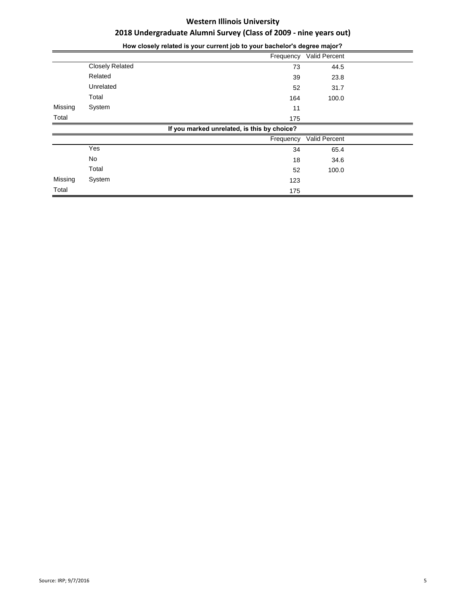|         | Tiow closely related is your current job to your bachelor's degree major: |                                             |               |  |  |
|---------|---------------------------------------------------------------------------|---------------------------------------------|---------------|--|--|
|         |                                                                           | Frequency                                   | Valid Percent |  |  |
|         | <b>Closely Related</b>                                                    | 73                                          | 44.5          |  |  |
|         | Related                                                                   | 39                                          | 23.8          |  |  |
|         | Unrelated                                                                 | 52                                          | 31.7          |  |  |
|         | Total                                                                     | 164                                         | 100.0         |  |  |
| Missing | System                                                                    | 11                                          |               |  |  |
| Total   |                                                                           | 175                                         |               |  |  |
|         |                                                                           | If you marked unrelated, is this by choice? |               |  |  |
|         |                                                                           | Frequency                                   | Valid Percent |  |  |
|         | Yes                                                                       | 34                                          | 65.4          |  |  |
|         | No                                                                        | 18                                          | 34.6          |  |  |
|         | Total                                                                     | 52                                          | 100.0         |  |  |
| Missing | System                                                                    | 123                                         |               |  |  |
| Total   |                                                                           | 175                                         |               |  |  |

**How closely related is your current job to your bachelor's degree major?**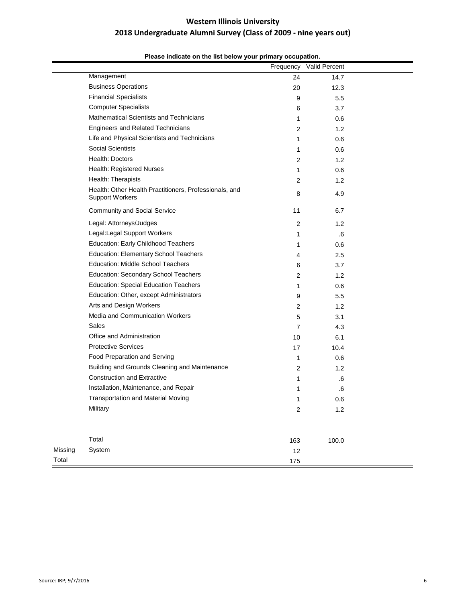|         | rease marcate on the not below your primary occupation.                          |                | Frequency Valid Percent |  |
|---------|----------------------------------------------------------------------------------|----------------|-------------------------|--|
|         | Management                                                                       | 24             | 14.7                    |  |
|         | <b>Business Operations</b>                                                       | 20             | 12.3                    |  |
|         | <b>Financial Specialists</b>                                                     | 9              | 5.5                     |  |
|         | <b>Computer Specialists</b>                                                      | 6              | 3.7                     |  |
|         | Mathematical Scientists and Technicians                                          | 1              | 0.6                     |  |
|         | <b>Engineers and Related Technicians</b>                                         | 2              | 1.2                     |  |
|         | Life and Physical Scientists and Technicians                                     | 1              | 0.6                     |  |
|         | <b>Social Scientists</b>                                                         | 1              | 0.6                     |  |
|         | Health: Doctors                                                                  | 2              | 1.2                     |  |
|         | Health: Registered Nurses                                                        | 1              | 0.6                     |  |
|         | Health: Therapists                                                               | 2              | 1.2                     |  |
|         | Health: Other Health Practitioners, Professionals, and<br><b>Support Workers</b> | 8              | 4.9                     |  |
|         | <b>Community and Social Service</b>                                              | 11             | 6.7                     |  |
|         | Legal: Attorneys/Judges                                                          | 2              | 1.2                     |  |
|         | Legal:Legal Support Workers                                                      | 1              | .6                      |  |
|         | <b>Education: Early Childhood Teachers</b>                                       | 1              | 0.6                     |  |
|         | <b>Education: Elementary School Teachers</b>                                     | 4              | 2.5                     |  |
|         | <b>Education: Middle School Teachers</b>                                         | 6              | 3.7                     |  |
|         | Education: Secondary School Teachers                                             | 2              | 1.2                     |  |
|         | <b>Education: Special Education Teachers</b>                                     | 1              | 0.6                     |  |
|         | Education: Other, except Administrators                                          | 9              | 5.5                     |  |
|         | Arts and Design Workers                                                          | 2              | 1.2                     |  |
|         | Media and Communication Workers                                                  | 5              | 3.1                     |  |
|         | Sales                                                                            | 7              | 4.3                     |  |
|         | Office and Administration                                                        | 10             | 6.1                     |  |
|         | <b>Protective Services</b>                                                       | 17             | 10.4                    |  |
|         | Food Preparation and Serving                                                     | 1              | 0.6                     |  |
|         | Building and Grounds Cleaning and Maintenance                                    | 2              | 1.2                     |  |
|         | <b>Construction and Extractive</b>                                               | 1              | .6                      |  |
|         | Installation, Maintenance, and Repair                                            | 1              | .6                      |  |
|         | <b>Transportation and Material Moving</b>                                        |                | 0.6                     |  |
|         | Military                                                                         | $\overline{c}$ | $1.2$                   |  |
|         | Total                                                                            | 163            | 100.0                   |  |
| Missing | System                                                                           | 12             |                         |  |
| Total   |                                                                                  | 175            |                         |  |

### **Please indicate on the list below your primary occupation.**

Total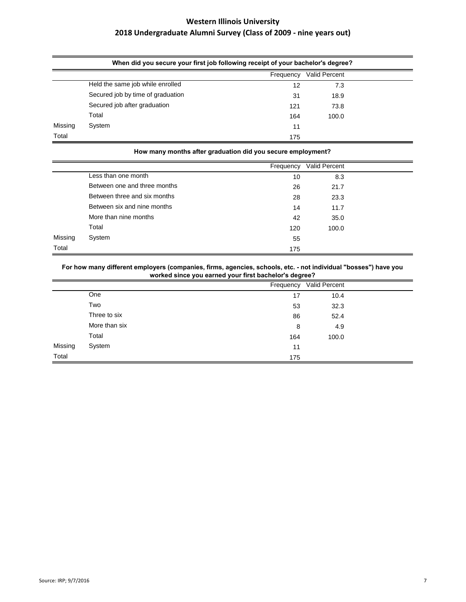|         | When did you secure your first job following receipt of your bachelor's degree? |           |               |  |  |
|---------|---------------------------------------------------------------------------------|-----------|---------------|--|--|
|         |                                                                                 | Frequency | Valid Percent |  |  |
|         | Held the same job while enrolled                                                | 12        | 7.3           |  |  |
|         | Secured job by time of graduation                                               | 31        | 18.9          |  |  |
|         | Secured job after graduation                                                    | 121       | 73.8          |  |  |
|         | Total                                                                           | 164       | 100.0         |  |  |
| Missing | System                                                                          | 11        |               |  |  |
| Total   |                                                                                 | 175       |               |  |  |

|         | How many months after graduation did you secure employment? |           |               |  |  |  |  |
|---------|-------------------------------------------------------------|-----------|---------------|--|--|--|--|
|         |                                                             | Frequency | Valid Percent |  |  |  |  |
|         | Less than one month                                         | 10        | 8.3           |  |  |  |  |
|         | Between one and three months                                | 26        | 21.7          |  |  |  |  |
|         | Between three and six months                                | 28        | 23.3          |  |  |  |  |
|         | Between six and nine months                                 | 14        | 11.7          |  |  |  |  |
|         | More than nine months                                       | 42        | 35.0          |  |  |  |  |
|         | Total                                                       | 120       | 100.0         |  |  |  |  |
| Missing | System                                                      | 55        |               |  |  |  |  |
| Total   |                                                             | 175       |               |  |  |  |  |

**For how many different employers (companies, firms, agencies, schools, etc. - not individual "bosses") have you worked since you earned your first bachelor's degree?**

|         |               | Frequency | Valid Percent |  |
|---------|---------------|-----------|---------------|--|
|         | One           | 17        | 10.4          |  |
|         | Two           | 53        | 32.3          |  |
|         | Three to six  | 86        | 52.4          |  |
|         | More than six | 8         | 4.9           |  |
|         | Total         | 164       | 100.0         |  |
| Missing | System        | 11        |               |  |
| Total   |               | 175       |               |  |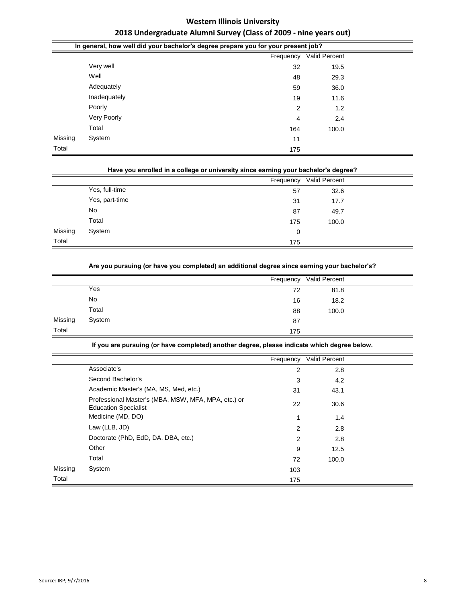|         | In general, how well did your bachelor's degree prepare you for your present job? |     |       |  |  |  |  |  |
|---------|-----------------------------------------------------------------------------------|-----|-------|--|--|--|--|--|
|         | Valid Percent<br>Frequency                                                        |     |       |  |  |  |  |  |
|         | Very well                                                                         | 32  | 19.5  |  |  |  |  |  |
|         | Well                                                                              | 48  | 29.3  |  |  |  |  |  |
|         | Adequately                                                                        | 59  | 36.0  |  |  |  |  |  |
|         | Inadequately                                                                      | 19  | 11.6  |  |  |  |  |  |
|         | Poorly                                                                            | 2   | 1.2   |  |  |  |  |  |
|         | Very Poorly                                                                       | 4   | 2.4   |  |  |  |  |  |
|         | Total                                                                             | 164 | 100.0 |  |  |  |  |  |
| Missing | System                                                                            | 11  |       |  |  |  |  |  |
| Total   |                                                                                   | 175 |       |  |  |  |  |  |

|  |  | Have you enrolled in a college or university since earning your bachelor's degree? |  |
|--|--|------------------------------------------------------------------------------------|--|

|         |                | Frequency | Valid Percent |  |
|---------|----------------|-----------|---------------|--|
|         | Yes, full-time | 57        | 32.6          |  |
|         | Yes, part-time | 31        | 17.7          |  |
|         | No             | 87        | 49.7          |  |
|         | Total          | 175       | 100.0         |  |
| Missing | System         | 0         |               |  |
| Total   |                | 175       |               |  |

| Are you pursuing (or have you completed) an additional degree since earning your bachelor's? |
|----------------------------------------------------------------------------------------------|
|----------------------------------------------------------------------------------------------|

|         |        | Frequency | <b>Valid Percent</b> |  |
|---------|--------|-----------|----------------------|--|
|         | Yes    | 72        | 81.8                 |  |
|         | No     | 16        | 18.2                 |  |
|         | Total  | 88        | 100.0                |  |
| Missing | System | 87        |                      |  |
| Total   |        | 175       |                      |  |

**If you are pursuing (or have completed) another degree, please indicate which degree below.**

|         |                                                                                    | Frequency | Valid Percent |  |
|---------|------------------------------------------------------------------------------------|-----------|---------------|--|
|         | Associate's                                                                        | 2         | 2.8           |  |
|         | Second Bachelor's                                                                  | 3         | 4.2           |  |
|         | Academic Master's (MA, MS, Med, etc.)                                              | 31        | 43.1          |  |
|         | Professional Master's (MBA, MSW, MFA, MPA, etc.) or<br><b>Education Specialist</b> | 22        | 30.6          |  |
|         | Medicine (MD, DO)                                                                  | 1         | 1.4           |  |
|         | Law (LLB, JD)                                                                      | 2         | 2.8           |  |
|         | Doctorate (PhD, EdD, DA, DBA, etc.)                                                | 2         | 2.8           |  |
|         | Other                                                                              | 9         | 12.5          |  |
|         | Total                                                                              | 72        | 100.0         |  |
| Missing | System                                                                             | 103       |               |  |
| Total   |                                                                                    | 175       |               |  |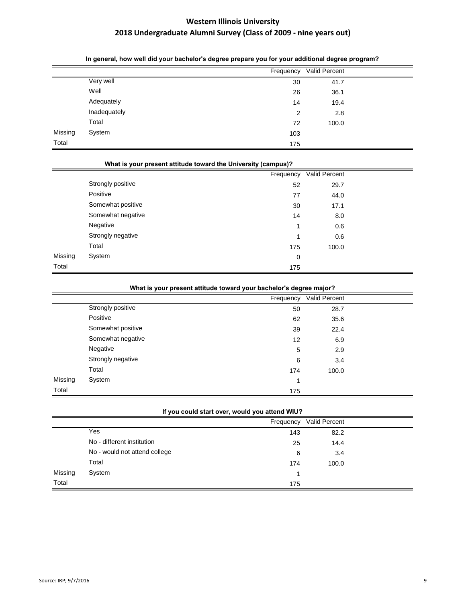|         |              |                | Frequency Valid Percent |  |
|---------|--------------|----------------|-------------------------|--|
|         | Very well    | 30             | 41.7                    |  |
|         | Well         | 26             | 36.1                    |  |
|         | Adequately   | 14             | 19.4                    |  |
|         | Inadequately | $\overline{2}$ | 2.8                     |  |
|         | Total        | 72             | 100.0                   |  |
| Missing | System       | 103            |                         |  |
| Total   |              | 175            |                         |  |
|         |              |                |                         |  |

| What is your present attitude toward the University (campus)? |                   |           |               |  |  |  |  |
|---------------------------------------------------------------|-------------------|-----------|---------------|--|--|--|--|
|                                                               |                   | Frequency | Valid Percent |  |  |  |  |
|                                                               | Strongly positive | 52        | 29.7          |  |  |  |  |
|                                                               | Positive          | 77        | 44.0          |  |  |  |  |
|                                                               | Somewhat positive | 30        | 17.1          |  |  |  |  |
|                                                               | Somewhat negative | 14        | 8.0           |  |  |  |  |
|                                                               | Negative          |           | 0.6           |  |  |  |  |
|                                                               | Strongly negative | 4         | 0.6           |  |  |  |  |
|                                                               | Total             | 175       | 100.0         |  |  |  |  |
| Missing                                                       | System            | 0         |               |  |  |  |  |
| Total                                                         |                   | 175       |               |  |  |  |  |

|  |  |  | What is your present attitude toward your bachelor's degree major? |  |
|--|--|--|--------------------------------------------------------------------|--|
|  |  |  |                                                                    |  |

|         |                   | Frequency | Valid Percent |  |
|---------|-------------------|-----------|---------------|--|
|         | Strongly positive | 50        | 28.7          |  |
|         | Positive          | 62        | 35.6          |  |
|         | Somewhat positive | 39        | 22.4          |  |
|         | Somewhat negative | 12        | 6.9           |  |
|         | Negative          | 5         | 2.9           |  |
|         | Strongly negative | 6         | 3.4           |  |
|         | Total             | 174       | 100.0         |  |
| Missing | System            | и         |               |  |
| Total   |                   | 175       |               |  |

| If you could start over, would you attend WIU? |  |  |
|------------------------------------------------|--|--|
|------------------------------------------------|--|--|

|         |                               | Frequency | Valid Percent |
|---------|-------------------------------|-----------|---------------|
|         | Yes                           | 143       | 82.2          |
|         | No - different institution    | 25        | 14.4          |
|         | No - would not attend college | 6         | 3.4           |
|         | Total                         | 174       | 100.0         |
| Missing | System                        |           |               |
| Total   |                               | 175       |               |

### **In general, how well did your bachelor's degree prepare you for your additional degree program?**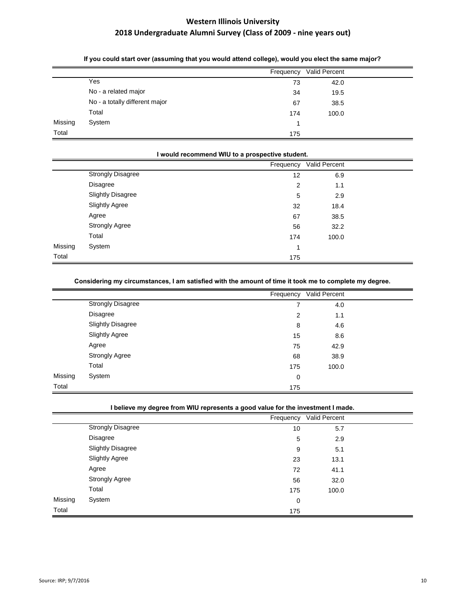|         |                                | Frequency | <b>Valid Percent</b> |
|---------|--------------------------------|-----------|----------------------|
|         | Yes                            | 73        | 42.0                 |
|         | No - a related major           | 34        | 19.5                 |
|         | No - a totally different major | 67        | 38.5                 |
|         | Total                          | 174       | 100.0                |
| Missing | System                         |           |                      |
| Total   |                                | 175       |                      |

### **If you could start over (assuming that you would attend college), would you elect the same major?**

|         | would recommend WIU to a prospective student. |           |               |  |
|---------|-----------------------------------------------|-----------|---------------|--|
|         |                                               | Frequency | Valid Percent |  |
|         | <b>Strongly Disagree</b>                      | 12        | 6.9           |  |
|         | <b>Disagree</b>                               | 2         | 1.1           |  |
|         | <b>Slightly Disagree</b>                      | 5         | 2.9           |  |
|         | <b>Slightly Agree</b>                         | 32        | 18.4          |  |
|         | Agree                                         | 67        | 38.5          |  |
|         | <b>Strongly Agree</b>                         | 56        | 32.2          |  |
|         | Total                                         | 174       | 100.0         |  |
| Missing | System                                        | 4         |               |  |
| Total   |                                               | 175       |               |  |

### **Considering my circumstances, I am satisfied with the amount of time it took me to complete my degree.**

|         |                          | Frequency      | Valid Percent |  |
|---------|--------------------------|----------------|---------------|--|
|         | Strongly Disagree        | $\overline{ }$ | 4.0           |  |
|         | <b>Disagree</b>          | 2              | 1.1           |  |
|         | <b>Slightly Disagree</b> | 8              | 4.6           |  |
|         | <b>Slightly Agree</b>    | 15             | 8.6           |  |
|         | Agree                    | 75             | 42.9          |  |
|         | <b>Strongly Agree</b>    | 68             | 38.9          |  |
|         | Total                    | 175            | 100.0         |  |
| Missing | System                   | 0              |               |  |
| Total   |                          | 175            |               |  |

### **I believe my degree from WIU represents a good value for the investment I made.**

|         |                          | Frequency | Valid Percent |  |
|---------|--------------------------|-----------|---------------|--|
|         | <b>Strongly Disagree</b> | 10        | 5.7           |  |
|         | <b>Disagree</b>          | 5         | 2.9           |  |
|         | <b>Slightly Disagree</b> | 9         | 5.1           |  |
|         | <b>Slightly Agree</b>    | 23        | 13.1          |  |
|         | Agree                    | 72        | 41.1          |  |
|         | <b>Strongly Agree</b>    | 56        | 32.0          |  |
|         | Total                    | 175       | 100.0         |  |
| Missing | System                   | 0         |               |  |
| Total   |                          | 175       |               |  |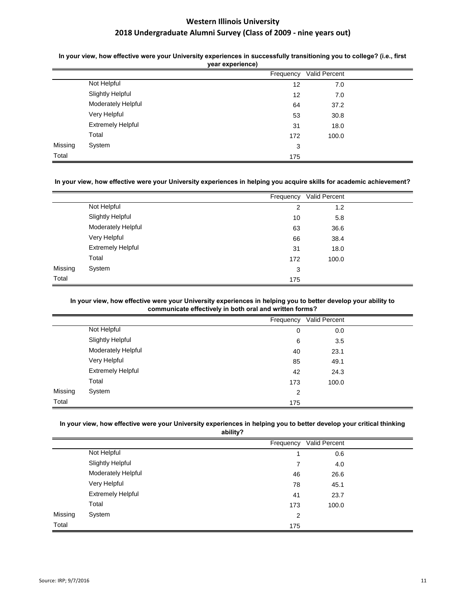In your view, how effective were your University experiences in successfully transitioning you to college? (i.e., first **year experience)**

|         |                          | yuu unpununuu j |               |  |
|---------|--------------------------|-----------------|---------------|--|
|         |                          | Frequency       | Valid Percent |  |
|         | Not Helpful              | 12              | 7.0           |  |
|         | <b>Slightly Helpful</b>  | 12              | 7.0           |  |
|         | Moderately Helpful       | 64              | 37.2          |  |
|         | Very Helpful             | 53              | 30.8          |  |
|         | <b>Extremely Helpful</b> | 31              | 18.0          |  |
|         | Total                    | 172             | 100.0         |  |
| Missing | System                   | 3               |               |  |
| Total   |                          | 175             |               |  |

### In your view, how effective were your University experiences in helping you acquire skills for academic achievement?

|         |                          | Frequency      | Valid Percent |  |
|---------|--------------------------|----------------|---------------|--|
|         | Not Helpful              | $\overline{2}$ | 1.2           |  |
|         | <b>Slightly Helpful</b>  | 10             | 5.8           |  |
|         | Moderately Helpful       | 63             | 36.6          |  |
|         | Very Helpful             | 66             | 38.4          |  |
|         | <b>Extremely Helpful</b> | 31             | 18.0          |  |
|         | Total                    | 172            | 100.0         |  |
| Missing | System                   | 3              |               |  |
| Total   |                          | 175            |               |  |

### In your view, how effective were your University experiences in helping you to better develop your ability to **communicate effectively in both oral and written forms?**

|         |                           | Frequency | Valid Percent |  |
|---------|---------------------------|-----------|---------------|--|
|         | Not Helpful               | 0         | 0.0           |  |
|         | <b>Slightly Helpful</b>   | 6         | 3.5           |  |
|         | <b>Moderately Helpful</b> | 40        | 23.1          |  |
|         | Very Helpful              | 85        | 49.1          |  |
|         | <b>Extremely Helpful</b>  | 42        | 24.3          |  |
|         | Total                     | 173       | 100.0         |  |
| Missing | System                    | 2         |               |  |
| Total   |                           | 175       |               |  |

#### In your view, how effective were your University experiences in helping you to better develop your critical thinking **ability?**

|         |                          | Frequency      | Valid Percent |  |
|---------|--------------------------|----------------|---------------|--|
|         | Not Helpful              |                | 0.6           |  |
|         | <b>Slightly Helpful</b>  |                | 4.0           |  |
|         | Moderately Helpful       | 46             | 26.6          |  |
|         | Very Helpful             | 78             | 45.1          |  |
|         | <b>Extremely Helpful</b> | 41             | 23.7          |  |
|         | Total                    | 173            | 100.0         |  |
| Missing | System                   | $\overline{2}$ |               |  |
| Total   |                          | 175            |               |  |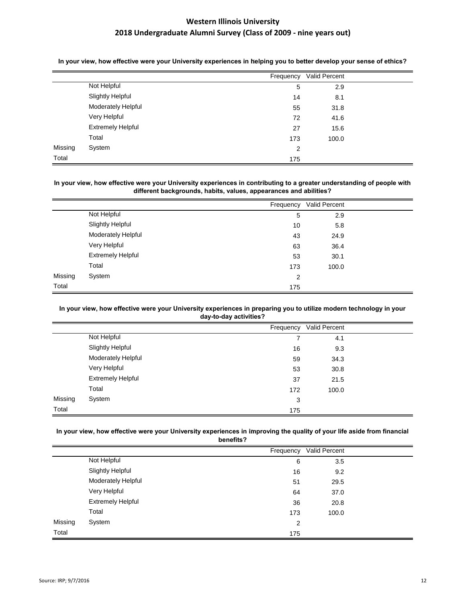|         |                          | Frequency      | Valid Percent |  |
|---------|--------------------------|----------------|---------------|--|
|         | Not Helpful              | 5              | 2.9           |  |
|         | <b>Slightly Helpful</b>  | 14             | 8.1           |  |
|         | Moderately Helpful       | 55             | 31.8          |  |
|         | Very Helpful             | 72             | 41.6          |  |
|         | <b>Extremely Helpful</b> | 27             | 15.6          |  |
|         | Total                    | 173            | 100.0         |  |
| Missing | System                   | $\overline{2}$ |               |  |
| Total   |                          | 175            |               |  |

In your view, how effective were your University experiences in helping you to better develop your sense of ethics?

### In your view, how effective were your University experiences in contributing to a greater understanding of people with **different backgrounds, habits, values, appearances and abilities?**

|         |                           | Frequency      | Valid Percent |  |
|---------|---------------------------|----------------|---------------|--|
|         | Not Helpful               | 5              | 2.9           |  |
|         | <b>Slightly Helpful</b>   | 10             | 5.8           |  |
|         | <b>Moderately Helpful</b> | 43             | 24.9          |  |
|         | Very Helpful              | 63             | 36.4          |  |
|         | <b>Extremely Helpful</b>  | 53             | 30.1          |  |
|         | Total                     | 173            | 100.0         |  |
| Missing | System                    | $\overline{2}$ |               |  |
| Total   |                           | 175            |               |  |

#### In your view, how effective were your University experiences in preparing you to utilize modern technology in your **day-to-day activities?**

|         |                          | Frequency | Valid Percent |  |
|---------|--------------------------|-----------|---------------|--|
|         | Not Helpful              | 7         | 4.1           |  |
|         | <b>Slightly Helpful</b>  | 16        | 9.3           |  |
|         | Moderately Helpful       | 59        | 34.3          |  |
|         | Very Helpful             | 53        | 30.8          |  |
|         | <b>Extremely Helpful</b> | 37        | 21.5          |  |
|         | Total                    | 172       | 100.0         |  |
| Missing | System                   | 3         |               |  |
| Total   |                          | 175       |               |  |

#### In your view, how effective were your University experiences in improving the quality of your life aside from financial **benefits?**

|         |                          | <u></u>   |               |  |
|---------|--------------------------|-----------|---------------|--|
|         |                          | Frequency | Valid Percent |  |
|         | Not Helpful              | 6         | 3.5           |  |
|         | <b>Slightly Helpful</b>  | 16        | 9.2           |  |
|         | Moderately Helpful       | 51        | 29.5          |  |
|         | Very Helpful             | 64        | 37.0          |  |
|         | <b>Extremely Helpful</b> | 36        | 20.8          |  |
|         | Total                    | 173       | 100.0         |  |
| Missing | System                   | 2         |               |  |
| Total   |                          | 175       |               |  |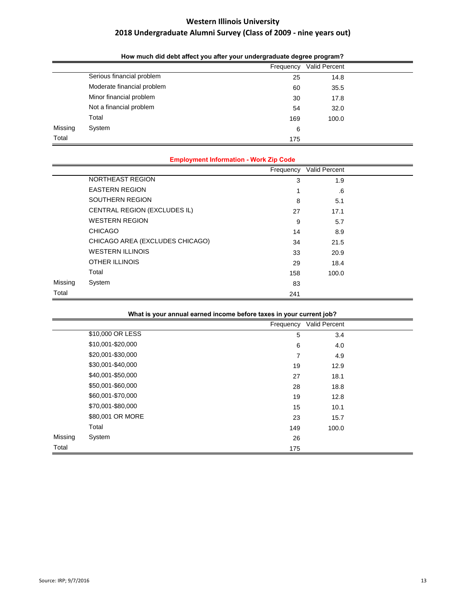|         |                            | Frequency | Valid Percent |  |  |
|---------|----------------------------|-----------|---------------|--|--|
|         | Serious financial problem  | 25        | 14.8          |  |  |
|         | Moderate financial problem | 60        | 35.5          |  |  |
|         | Minor financial problem    | 30        | 17.8          |  |  |
|         | Not a financial problem    | 54        | 32.0          |  |  |
|         | Total                      | 169       | 100.0         |  |  |
| Missing | System                     | 6         |               |  |  |
| Total   |                            | 175       |               |  |  |

**How much did debt affect you after your undergraduate degree program?**

|         | <b>Employment Information - Work Zip Code</b> |           |               |  |  |  |
|---------|-----------------------------------------------|-----------|---------------|--|--|--|
|         |                                               | Frequency | Valid Percent |  |  |  |
|         | NORTHEAST REGION                              | 3         | 1.9           |  |  |  |
|         | <b>EASTERN REGION</b>                         |           | .6            |  |  |  |
|         | SOUTHERN REGION                               | 8         | 5.1           |  |  |  |
|         | CENTRAL REGION (EXCLUDES IL)                  | 27        | 17.1          |  |  |  |
|         | <b>WESTERN REGION</b>                         | 9         | 5.7           |  |  |  |
|         | <b>CHICAGO</b>                                | 14        | 8.9           |  |  |  |
|         | CHICAGO AREA (EXCLUDES CHICAGO)               | 34        | 21.5          |  |  |  |
|         | <b>WESTERN ILLINOIS</b>                       | 33        | 20.9          |  |  |  |
|         | <b>OTHER ILLINOIS</b>                         | 29        | 18.4          |  |  |  |
|         | Total                                         | 158       | 100.0         |  |  |  |
| Missing | System                                        | 83        |               |  |  |  |
| Total   |                                               | 241       |               |  |  |  |

|  |  | What is your annual earned income before taxes in your current job? |  |  |  |
|--|--|---------------------------------------------------------------------|--|--|--|
|  |  |                                                                     |  |  |  |

|         |                   | Frequency | Valid Percent |  |
|---------|-------------------|-----------|---------------|--|
|         | \$10,000 OR LESS  | 5         | 3.4           |  |
|         | \$10,001-\$20,000 | 6         | 4.0           |  |
|         | \$20,001-\$30,000 | 7         | 4.9           |  |
|         | \$30,001-\$40,000 | 19        | 12.9          |  |
|         | \$40,001-\$50,000 | 27        | 18.1          |  |
|         | \$50,001-\$60,000 | 28        | 18.8          |  |
|         | \$60,001-\$70,000 | 19        | 12.8          |  |
|         | \$70,001-\$80,000 | 15        | 10.1          |  |
|         | \$80,001 OR MORE  | 23        | 15.7          |  |
|         | Total             | 149       | 100.0         |  |
| Missing | System            | 26        |               |  |
| Total   |                   | 175       |               |  |